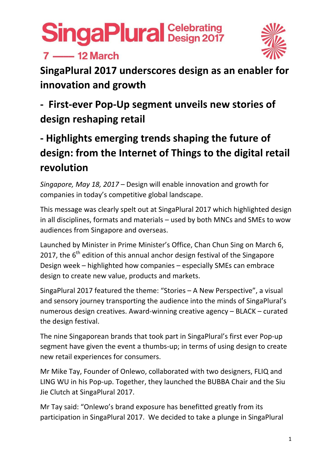### $7 - 12$  March



**SingaPlural 2017 underscores design as an enabler for innovation and growth**

### **‐ First‐ever Pop‐Up segment unveils new stories of design reshaping retail**

### **‐ Highlights emerging trends shaping the future of design: from the Internet of Things to the digital retail revolution**

*Singapore, May 18, 2017 –* Design will enable innovation and growth for companies in today's competitive global landscape.

This message was clearly spelt out at SingaPlural 2017 which highlighted design in all disciplines, formats and materials – used by both MNCs and SMEs to wow audiences from Singapore and overseas.

Launched by Minister in Prime Minister's Office, Chan Chun Sing on March 6, 2017, the  $6<sup>th</sup>$  edition of this annual anchor design festival of the Singapore Design week – highlighted how companies – especially SMEs can embrace design to create new value, products and markets.

SingaPlural 2017 featured the theme: "Stories – A New Perspective", a visual and sensory journey transporting the audience into the minds of SingaPlural's numerous design creatives. Award‐winning creative agency – BLACK – curated the design festival.

The nine Singaporean brands that took part in SingaPlural's first ever Pop‐up segment have given the event a thumbs-up; in terms of using design to create new retail experiences for consumers.

Mr Mike Tay, Founder of Onlewo, collaborated with two designers, FLIQ and LING WU in his Pop‐up. Together, they launched the BUBBA Chair and the Siu Jie Clutch at SingaPlural 2017.

Mr Tay said: "Onlewo's brand exposure has benefitted greatly from its participation in SingaPlural 2017. We decided to take a plunge in SingaPlural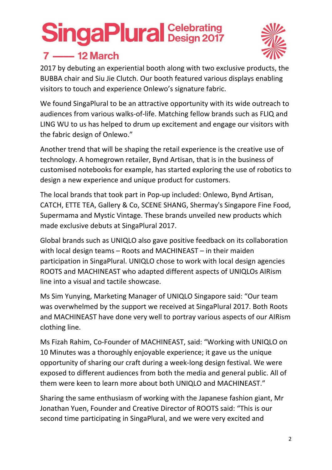### $7 \longrightarrow 12$  March



2017 by debuting an experiential booth along with two exclusive products, the BUBBA chair and Siu Jie Clutch. Our booth featured various displays enabling visitors to touch and experience Onlewo's signature fabric.

We found SingaPlural to be an attractive opportunity with its wide outreach to audiences from various walks‐of‐life. Matching fellow brands such as FLIQ and LING WU to us has helped to drum up excitement and engage our visitors with the fabric design of Onlewo."

Another trend that will be shaping the retail experience is the creative use of technology. A homegrown retailer, Bynd Artisan, that is in the business of customised notebooks for example, has started exploring the use of robotics to design a new experience and unique product for customers.

The local brands that took part in Pop‐up included: Onlewo, Bynd Artisan, CATCH, ETTE TEA, Gallery & Co, SCENE SHANG, Shermay's Singapore Fine Food, Supermama and Mystic Vintage. These brands unveiled new products which made exclusive debuts at SingaPlural 2017.

Global brands such as UNIQLO also gave positive feedback on its collaboration with local design teams – Roots and MACHINEAST – in their maiden participation in SingaPlural. UNIQLO chose to work with local design agencies ROOTS and MACHINEAST who adapted different aspects of UNIQLOs AIRism line into a visual and tactile showcase.

Ms Sim Yunying, Marketing Manager of UNIQLO Singapore said: "Our team was overwhelmed by the support we received at SingaPlural 2017. Both Roots and MACHINEAST have done very well to portray various aspects of our AIRism clothing line.

Ms Fizah Rahim, Co‐Founder of MACHINEAST, said: "Working with UNIQLO on 10 Minutes was a thoroughly enjoyable experience; it gave us the unique opportunity of sharing our craft during a week‐long design festival. We were exposed to different audiences from both the media and general public. All of them were keen to learn more about both UNIQLO and MACHINEAST."

Sharing the same enthusiasm of working with the Japanese fashion giant, Mr Jonathan Yuen, Founder and Creative Director of ROOTS said: "This is our second time participating in SingaPlural, and we were very excited and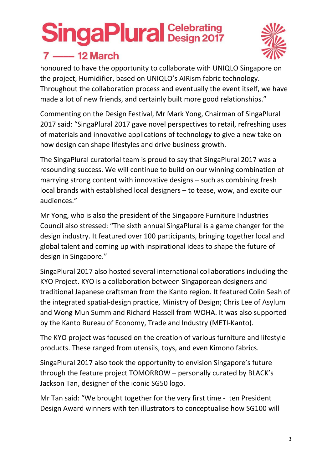

### $7 - 12$  March

honoured to have the opportunity to collaborate with UNIQLO Singapore on the project, Humidifier, based on UNIQLO's AIRism fabric technology. Throughout the collaboration process and eventually the event itself, we have made a lot of new friends, and certainly built more good relationships."

Commenting on the Design Festival, Mr Mark Yong, Chairman of SingaPlural 2017 said: "SingaPlural 2017 gave novel perspectives to retail, refreshing uses of materials and innovative applications of technology to give a new take on how design can shape lifestyles and drive business growth.

The SingaPlural curatorial team is proud to say that SingaPlural 2017 was a resounding success. We will continue to build on our winning combination of marrying strong content with innovative designs – such as combining fresh local brands with established local designers – to tease, wow, and excite our audiences."

Mr Yong, who is also the president of the Singapore Furniture Industries Council also stressed: "The sixth annual SingaPlural is a game changer for the design industry. It featured over 100 participants, bringing together local and global talent and coming up with inspirational ideas to shape the future of design in Singapore."

SingaPlural 2017 also hosted several international collaborations including the KYO Project. KYO is a collaboration between Singaporean designers and traditional Japanese craftsman from the Kanto region. It featured Colin Seah of the integrated spatial‐design practice, Ministry of Design; Chris Lee of Asylum and Wong Mun Summ and Richard Hassell from WOHA. It was also supported by the Kanto Bureau of Economy, Trade and Industry (METI‐Kanto).

The KYO project was focused on the creation of various furniture and lifestyle products. These ranged from utensils, toys, and even Kimono fabrics.

SingaPlural 2017 also took the opportunity to envision Singapore's future through the feature project TOMORROW – personally curated by BLACK's Jackson Tan, designer of the iconic SG50 logo.

Mr Tan said: "We brought together for the very first time ‐ ten President Design Award winners with ten illustrators to conceptualise how SG100 will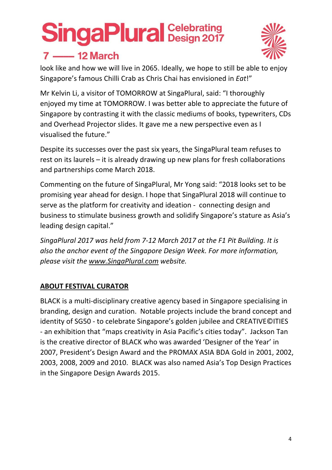

### $7 - 12$  March

look like and how we will live in 2065. Ideally, we hope to still be able to enjoy Singapore's famous Chilli Crab as Chris Chai has envisioned in *Eat*!"

Mr Kelvin Li, a visitor of TOMORROW at SingaPlural, said: "I thoroughly enjoyed my time at TOMORROW. I was better able to appreciate the future of Singapore by contrasting it with the classic mediums of books, typewriters, CDs and Overhead Projector slides. It gave me a new perspective even as I visualised the future."

Despite its successes over the past six years, the SingaPlural team refuses to rest on its laurels – it is already drawing up new plans for fresh collaborations and partnerships come March 2018.

Commenting on the future of SingaPlural, Mr Yong said: "2018 looks set to be promising year ahead for design. I hope that SingaPlural 2018 will continue to serve as the platform for creativity and ideation ‐ connecting design and business to stimulate business growth and solidify Singapore's stature as Asia's leading design capital."

*SingaPlural 2017 was held from 7‐12 March 2017 at the F1 Pit Building. It is also the anchor event of the Singapore Design Week. For more information, please visit the www.SingaPlural.com website.*

### **ABOUT FESTIVAL CURATOR**

BLACK is a multi‐disciplinary creative agency based in Singapore specialising in branding, design and curation. Notable projects include the brand concept and identity of SG50 ‐ to celebrate Singapore's golden jubilee and CREATIVE©ITIES ‐ an exhibition that "maps creativity in Asia Pacific's cities today". Jackson Tan is the creative director of BLACK who was awarded 'Designer of the Year' in 2007, President's Design Award and the PROMAX ASIA BDA Gold in 2001, 2002, 2003, 2008, 2009 and 2010. BLACK was also named Asia's Top Design Practices in the Singapore Design Awards 2015.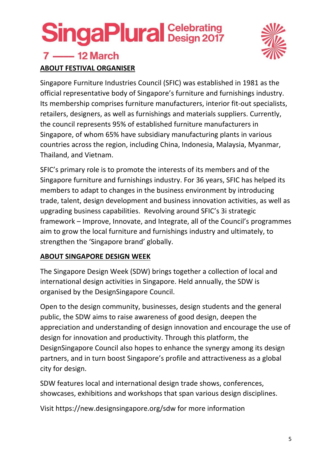## **SingaPlural Design 2017**



### $7 - 12$  March **ABOUT FESTIVAL ORGANISER**

Singapore Furniture Industries Council (SFIC) was established in 1981 as the official representative body of Singapore's furniture and furnishings industry. Its membership comprises furniture manufacturers, interior fit‐out specialists, retailers, designers, as well as furnishings and materials suppliers. Currently, the council represents 95% of established furniture manufacturers in Singapore, of whom 65% have subsidiary manufacturing plants in various countries across the region, including China, Indonesia, Malaysia, Myanmar, Thailand, and Vietnam.

SFIC's primary role is to promote the interests of its members and of the Singapore furniture and furnishings industry. For 36 years, SFIC has helped its members to adapt to changes in the business environment by introducing trade, talent, design development and business innovation activities, as well as upgrading business capabilities. Revolving around SFIC's 3i strategic framework – Improve, Innovate, and Integrate, all of the Council's programmes aim to grow the local furniture and furnishings industry and ultimately, to strengthen the 'Singapore brand' globally.

### **ABOUT SINGAPORE DESIGN WEEK**

The Singapore Design Week (SDW) brings together a collection of local and international design activities in Singapore. Held annually, the SDW is organised by the DesignSingapore Council.

Open to the design community, businesses, design students and the general public, the SDW aims to raise awareness of good design, deepen the appreciation and understanding of design innovation and encourage the use of design for innovation and productivity. Through this platform, the DesignSingapore Council also hopes to enhance the synergy among its design partners, and in turn boost Singapore's profile and attractiveness as a global city for design.

SDW features local and international design trade shows, conferences, showcases, exhibitions and workshops that span various design disciplines.

Visit https://new.designsingapore.org/sdw for more information